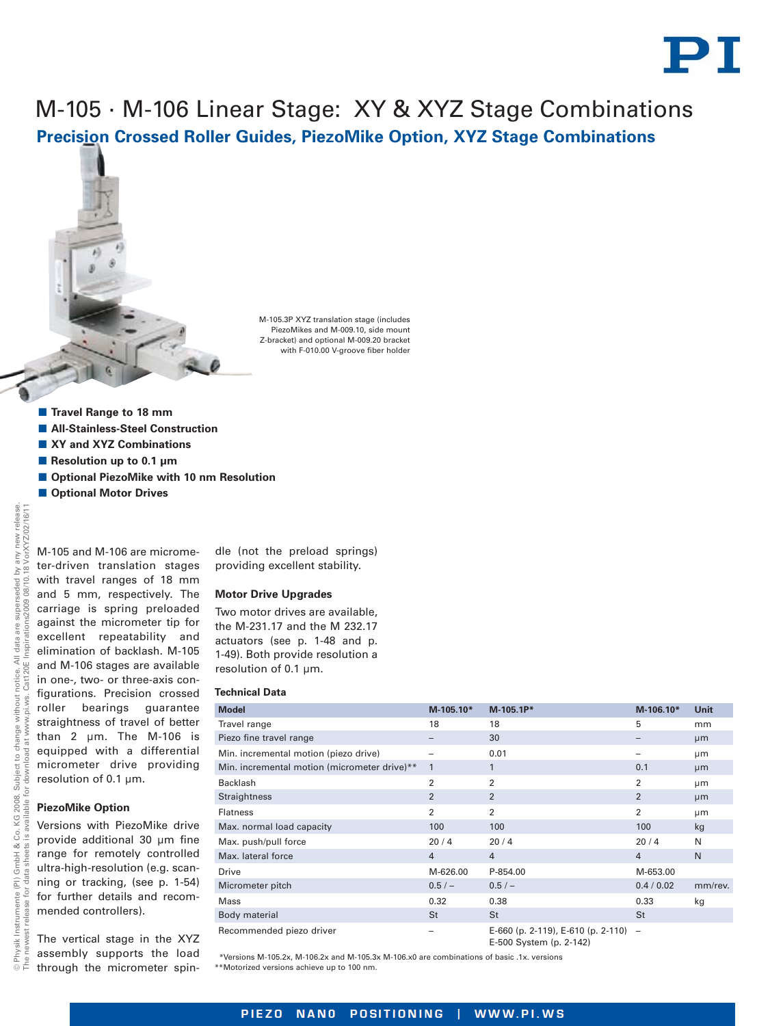

## M-105 · M-106 Linear Stage: XY & XYZ Stage Combinations **Precision Crossed Roller Guides, PiezoMike Option, XYZ Stage Combinations**

M-105.3P XYZ translation stage (includes PiezoMikes and M-009.10, side mount Z-bracket) and optional M-009.20 bracket with F-010.00 V-groove fiber holder

- **E** Travel Range to 18 mm
- $\blacksquare$  **All-Stainless-Steel Construction**
- XY and XYZ Combinations
- **E** Resolution up to 0.1 μm
- Optional PiezoMike with 10 nm Resolution
- $\blacksquare$  **Optional Motor Drives**

M-105 and M-106 are micrometer-driven translation stages The newest release for data sheets is available for download at [www.pi.ws.](http://www.pi.ws) Cat120E Inspirations2009 08/10.18 with travel ranges of 18 mm and 5 mm, respectively. The carriage is spring preloaded against the micrometer tip for excellent repeatability and elimination of backlash. M-105 and M-106 stages are available Cat120E in one-, two- or three-axis configurations. Precision crossed roller bearings guarantee straightness of travel of better than 2 µm. The M-106 is equipped with a differential micrometer drive providing resolution of 0.1 µm. ŏ **PiezoMike Option** Versions with PiezoMike drive provide additional 30 µm fine range for remotely controlled ultra-high-resolution (e.g. scanning or tracking, (see p. 1-54) for further details and recommended controllers).

The vertical stage in the XYZ assembly supports the load through the micrometer spindle (not the preload springs) providing excellent stability.

## **Motor Drive Upgrades**

Two motor drives are available, the M-231.17 and the M 232.17 actuators (see p. 1-48 and p. 1-49). Both provide resolution a resolution of 0.1 µm.

## **Technical Data**

| <b>Model</b>                                 | M-105.10*      | M-105.1P*                                                         | M-106.10*      | <b>Unit</b> |
|----------------------------------------------|----------------|-------------------------------------------------------------------|----------------|-------------|
| Travel range                                 | 18             | 18                                                                | 5              | mm          |
| Piezo fine travel range                      |                | 30                                                                |                | µm          |
| Min. incremental motion (piezo drive)        |                | 0.01                                                              |                | µm          |
| Min. incremental motion (micrometer drive)** | 1              | $\mathbf{1}$                                                      | 0.1            | µm          |
| <b>Backlash</b>                              | $\overline{2}$ | $\overline{2}$                                                    | 2              | µm          |
| <b>Straightness</b>                          | $\overline{2}$ | 2                                                                 | 2              | µm          |
| <b>Flatness</b>                              | 2              | $\overline{2}$                                                    | 2              | μm          |
| Max. normal load capacity                    | 100            | 100                                                               | 100            | kg          |
| Max. push/pull force                         | 20/4           | 20/4                                                              | 20/4           | N           |
| Max. lateral force                           | $\overline{4}$ | $\overline{4}$                                                    | $\overline{4}$ | N           |
| <b>Drive</b>                                 | M-626.00       | P-854.00                                                          | M-653.00       |             |
| Micrometer pitch                             | $0.5/-$        | 0.5/                                                              | 0.4 / 0.02     | mm/rev.     |
| <b>Mass</b>                                  | 0.32           | 0.38                                                              | 0.33           | kg          |
| Body material                                | St             | St                                                                | St             |             |
| Recommended piezo driver                     |                | E-660 (p. 2-119), E-610 (p. 2-110) $-$<br>E-500 System (p. 2-142) |                |             |

\*Versions M-105.2x, M-106.2x and M-105.3x M-106.x0 are combinations of basic .1x. versions \*\*Motorized versions achieve up to 100 nm.